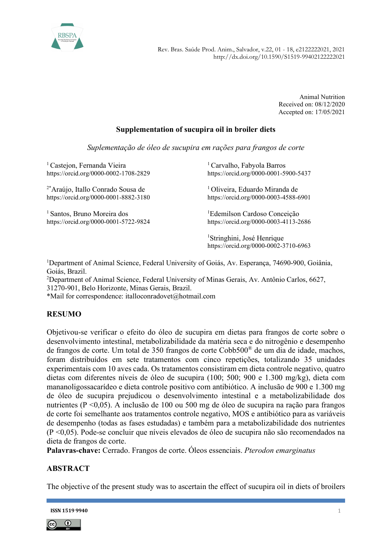

 http://dx.doi.org/10.1590/S1519-99402122222021 Rev. Bras. Saúde Prod. Anim., Salvador, v.22, 01 - 18, e2122222021, 2021

> Animal Nutrition Received on: 08/12/2020 Accepted on: 17/05/2021

### Supplementation of sucupira oil in broiler diets

Suplementação de óleo de sucupira em rações para frangos de corte

<sup>1</sup> Castejon, Fernanda Vieira https://orcid.org/0000-0002-1708-2829

2\*Araújo, Itallo Conrado Sousa de https://orcid.org/0000-0001-8882-3180

<sup>1</sup> Santos, Bruno Moreira dos https://orcid.org/0000-0001-5722-9824

<sup>1</sup> Carvalho, Fabyola Barros https://orcid.org/0000-0001-5900-5437

<sup>1</sup> Oliveira, Eduardo Miranda de https://orcid.org/0000-0003-4588-6901

<sup>1</sup>Edemilson Cardoso Conceição https://orcid.org/0000-0003-4113-2686

<sup>1</sup>Stringhini, José Henrique https://orcid.org/0000-0002-3710-6963

<sup>1</sup>Department of Animal Science, Federal University of Goiás, Av. Esperança, 74690-900, Goiânia, Goiás, Brazil.

<sup>2</sup>Department of Animal Science, Federal University of Minas Gerais, Av. Antônio Carlos, 6627, 31270-901, Belo Horizonte, Minas Gerais, Brazil.

\*Mail for correspondence: italloconradovet@hotmail.com

#### RESUMO

Objetivou-se verificar o efeito do óleo de sucupira em dietas para frangos de corte sobre o desenvolvimento intestinal, metabolizabilidade da matéria seca e do nitrogênio e desempenho de frangos de corte. Um total de 350 frangos de corte Cobb500® de um dia de idade, machos, foram distribuídos em sete tratamentos com cinco repetições, totalizando 35 unidades experimentais com 10 aves cada. Os tratamentos consistiram em dieta controle negativo, quatro dietas com diferentes níveis de óleo de sucupira (100; 500; 900 e 1.300 mg/kg), dieta com mananoligossacarídeo e dieta controle positivo com antibiótico. A inclusão de 900 e 1.300 mg de óleo de sucupira prejudicou o desenvolvimento intestinal e a metabolizabilidade dos nutrientes (P <0,05). A inclusão de 100 ou 500 mg de óleo de sucupira na ração para frangos de corte foi semelhante aos tratamentos controle negativo, MOS e antibiótico para as variáveis de desempenho (todas as fases estudadas) e também para a metabolizabilidade dos nutrientes (P <0,05). Pode-se concluir que níveis elevados de óleo de sucupira não são recomendados na dieta de frangos de corte.

Palavras-chave: Cerrado. Frangos de corte. Óleos essenciais. Pterodon emarginatus

#### ABSTRACT

The objective of the present study was to ascertain the effect of sucupira oil in diets of broilers



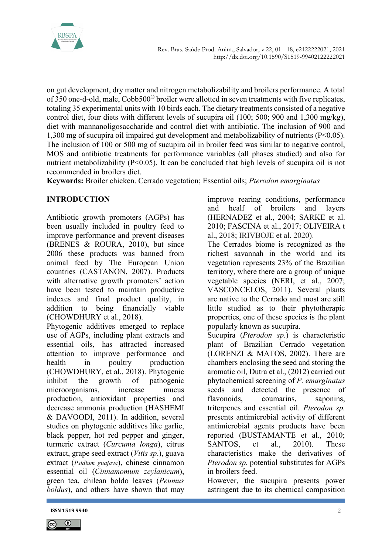

on gut development, dry matter and nitrogen metabolizability and broilers performance. A total of 350 one-d-old, male, Cobb500® broiler were allotted in seven treatments with five replicates, totaling 35 experimental units with 10 birds each. The dietary treatments consisted of a negative control diet, four diets with different levels of sucupira oil (100; 500; 900 and 1,300 mg/kg), diet with mannanoligosaccharide and control diet with antibiotic. The inclusion of 900 and 1,300 mg of sucupira oil impaired gut development and metabolizability of nutrients (P<0.05). The inclusion of 100 or 500 mg of sucupira oil in broiler feed was similar to negative control, MOS and antibiotic treatments for performance variables (all phases studied) and also for nutrient metabolizability (P<0.05). It can be concluded that high levels of sucupira oil is not recommended in broilers diet.

Keywords: Broiler chicken. Cerrado vegetation; Essential oils; Pterodon emarginatus

### INTRODUCTION

Antibiotic growth promoters (AGPs) has been usually included in poultry feed to improve performance and prevent diseases (BRENES & ROURA, 2010), but since 2006 these products was banned from animal feed by The European Union countries (CASTANON, 2007). Products with alternative growth promoters' action have been tested to maintain productive indexes and final product quality, in addition to being financially viable (CHOWDHURY et al., 2018).

Phytogenic additives emerged to replace use of AGPs, including plant extracts and essential oils, has attracted increased attention to improve performance and health in poultry production (CHOWDHURY, et al., 2018). Phytogenic inhibit the growth of pathogenic microorganisms, increase mucus production, antioxidant properties and decrease ammonia production (HASHEMI & DAVOODI, 2011). In addition, several studies on phytogenic additives like garlic, black pepper, hot red pepper and ginger, turmeric extract (Curcuma longa), citrus extract, grape seed extract (Vitis sp.), guava extract (Psidium guajava), chinese cinnamon essential oil (Cinnamomum zeylanicum), green tea, chilean boldo leaves (Peumus boldus), and others have shown that may

improve rearing conditions, performance and healf of broilers and layers (HERNADEZ et al., 2004; SARKE et al. 2010; FASCINA et al., 2017; OLIVEIRA t al., 2018; IRIVBOJE et al. 2020).

The Cerrados biome is recognized as the richest savannah in the world and its vegetation represents 23% of the Brazilian territory, where there are a group of unique vegetable species (NERI, et al., 2007; VASCONCELOS, 2011). Several plants are native to the Cerrado and most are still little studied as to their phytotherapic properties, one of these species is the plant popularly known as sucupira.

Sucupira (*Pterodon sp.*) is characteristic plant of Brazilian Cerrado vegetation (LORENZI & MATOS, 2002). There are chambers enclosing the seed and storing the aromatic oil, Dutra et al., (2012) carried out phytochemical screening of P. emarginatus seeds and detected the presence of flavonoids, coumarins, saponins, triterpenes and essential oil. Pterodon sp. presents antimicrobial activity of different antimicrobial agents products have been reported (BUSTAMANTE et al., 2010; SANTOS, et al., 2010). These characteristics make the derivatives of Pterodon sp. potential substitutes for AGPs in broilers feed.

However, the sucupira presents power astringent due to its chemical composition



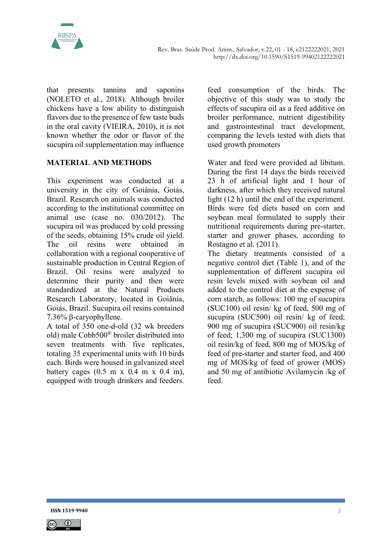

that presents tannins and saponins (NOLETO et al., 2018). Although broiler chickens have a low ability to distinguish flavors due to the presence of few taste buds in the oral cavity (VIEIRA, 2010), it is not known whether the odor or flavor of the sucupira oil supplementation may influence

# MATERIAL AND METHODS

This experiment was conducted at a university in the city of Goiânia, Goiás, Brazil. Research on animals was conducted according to the institutional committee on animal use (case no. 030/2012). The sucupira oil was produced by cold pressing of the seeds, obtaining 15% crude oil yield. The oil resins were obtained in collaboration with a regional cooperative of sustainable production in Central Region of Brazil. Oil resins were analyzed to determine their purity and then were standardized at the Natural Products Research Laboratory, located in Goiânia, Goiás, Brazil. Sucupira oil resins contained 7.36% β-caryophyllene.

A total of 350 one-d-old (32 wk breeders old) male Cobb500® broiler distributed into seven treatments with five replicates, totaling 35 experimental units with 10 birds each. Birds were housed in galvanized steel battery cages  $(0.5 \text{ m x } 0.4 \text{ m x } 0.4 \text{ m})$ , equipped with trough drinkers and feeders.

feed consumption of the birds. The objective of this study was to study the effects of sucupira oil as a feed additive on broiler performance, nutrient digestibility and gastrointestinal tract development, comparing the levels tested with diets that used growth promoters

Water and feed were provided ad libitum. During the first 14 days the birds received 23 h of artificial light and 1 hour of darkness, after which they received natural light (12 h) until the end of the experiment. Birds were fed diets based on corn and soybean meal formulated to supply their nutritional requirements during pre-starter, starter and grower phases, according to Rostagno et al. (2011).

The dietary treatments consisted of a negative control diet (Table 1), and of the supplementation of different sucupira oil resin levels mixed with soybean oil and added to the control diet at the expense of corn starch, as follows: 100 mg of sucupira (SUC100) oil resin/ kg of feed, 500 mg of sucupira (SUC500) oil resin/ kg of feed; 900 mg of sucupira (SUC900) oil resin/kg of feed; 1,300 mg of sucupira (SUC1300) oil resin/kg of feed, 800 mg of MOS/kg of feed of pre-starter and starter feed, and 400 mg of MOS/kg of feed of grower (MOS) and 50 mg of antibiotic Avilamycin /kg of feed.

**ISSN 1519 9940** 3

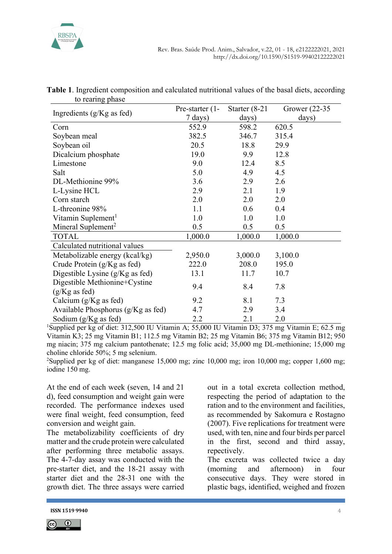

| to Tearing phase                     |                 |                  |                  |  |
|--------------------------------------|-----------------|------------------|------------------|--|
| Ingredients (g/Kg as fed)            | Pre-starter (1- | Starter $(8-21)$ | Grower $(22-35)$ |  |
|                                      | 7 days)         | days)            | days)            |  |
| Corn                                 | 552.9           | 598.2            | 620.5            |  |
| Soybean meal                         | 382.5           | 346.7            | 315.4            |  |
| Soybean oil                          | 20.5            | 18.8             | 29.9             |  |
| Dicalcium phosphate                  | 19.0            | 9.9              | 12.8             |  |
| Limestone                            | 9.0             | 12.4             | 8.5              |  |
| Salt                                 | 5.0             | 4.9              | 4.5              |  |
| DL-Methionine 99%                    | 3.6             | 2.9              | 2.6              |  |
| L-Lysine HCL                         | 2.9             | 2.1              | 1.9              |  |
| Corn starch                          | 2.0             | 2.0              | 2.0              |  |
| L-threonine 98%                      | 1.1             | 0.6              | 0.4              |  |
| Vitamin Suplement <sup>1</sup>       | 1.0             | 1.0              | 1.0              |  |
| Mineral Suplement <sup>2</sup>       | 0.5             | 0.5              | 0.5              |  |
| <b>TOTAL</b>                         | 1,000.0         | 1,000.0          | 1,000.0          |  |
| Calculated nutritional values        |                 |                  |                  |  |
| Metabolizable energy (kcal/kg)       | 2,950.0         | 3,000.0          | 3,100.0          |  |
| Crude Protein $(g/Kg$ as fed)        | 222.0           | 208.0            | 195.0            |  |
| Digestible Lysine $(g/Kg$ as fed)    | 13.1            | 11.7             | 10.7             |  |
| Digestible Methionine+Cystine        |                 |                  |                  |  |
| $(g/Kg$ as fed)                      | 9.4             | 8.4              | 7.8              |  |
| Calcium (g/Kg as fed)                | 9.2             | 8.1              | 7.3              |  |
| Available Phosphorus $(g/Kg$ as fed) | 4.7             | 2.9              | 3.4              |  |
| Sodium (g/Kg as fed)                 | 2.2             | 2.1              | 2.0              |  |

Table 1. Ingredient composition and calculated nutritional values of the basal diets, according to rearing phase

<sup>1</sup>Supplied per kg of diet: 312,500 IU Vitamin A; 55,000 IU Vitamin D3; 375 mg Vitamin E; 62.5 mg Vitamin K3; 25 mg Vitamin B1; 112.5 mg Vitamin B2; 25 mg Vitamin B6; 375 mg Vitamin B12; 950 mg niacin; 375 mg calcium pantothenate; 12.5 mg folic acid; 35,000 mg DL-methionine; 15,000 mg choline chloride 50%; 5 mg selenium.

<sup>2</sup>Supplied per kg of diet: manganese 15,000 mg; zinc 10,000 mg; iron 10,000 mg; copper 1,600 mg; iodine 150 mg.

At the end of each week (seven, 14 and 21 d), feed consumption and weight gain were recorded. The performance indexes used were final weight, feed consumption, feed conversion and weight gain.

The metabolizability coefficients of dry matter and the crude protein were calculated after performing three metabolic assays. The 4-7-day assay was conducted with the pre-starter diet, and the 18-21 assay with starter diet and the 28-31 one with the growth diet. The three assays were carried

out in a total excreta collection method, respecting the period of adaptation to the ration and to the environment and facilities, as recommended by Sakomura e Rostagno (2007). Five replications for treatment were used, with ten, nine and four birds per parcel in the first, second and third assay, repectively.

The excreta was collected twice a day (morning and afternoon) in four consecutive days. They were stored in plastic bags, identified, weighed and frozen



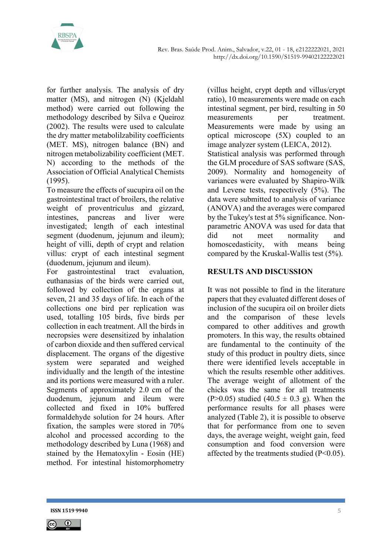

for further analysis. The analysis of dry matter (MS), and nitrogen (N) (Kjeldahl method) were carried out following the methodology described by Silva e Queiroz (2002). The results were used to calculate the dry matter metabolilzability coefficients (MET. MS), nitrogen balance (BN) and nitrogen metabolizability coefficient (MET. N) according to the methods of the Association of Official Analytical Chemists (1995).

To measure the effects of sucupira oil on the gastrointestinal tract of broilers, the relative weight of proventriculus and gizzard, intestines, pancreas and liver were investigated; length of each intestinal segment (duodenum, jejunum and ileum); height of villi, depth of crypt and relation villus: crypt of each intestinal segment (duodenum, jejunum and ileum).

For gastrointestinal tract evaluation, euthanasias of the birds were carried out, followed by collection of the organs at seven, 21 and 35 days of life. In each of the collections one bird per replication was used, totalling 105 birds, five birds per collection in each treatment. All the birds in necropsies were desensitized by inhalation of carbon dioxide and then suffered cervical displacement. The organs of the digestive system were separated and weighed individually and the length of the intestine and its portions were measured with a ruler. Segments of approximately 2.0 cm of the duodenum, jejunum and ileum were collected and fixed in 10% buffered formaldehyde solution for 24 hours. After fixation, the samples were stored in 70% alcohol and processed according to the methodology described by Luna (1968) and stained by the Hematoxylin - Eosin (HE) method. For intestinal histomorphometry

(villus height, crypt depth and villus/crypt ratio), 10 measurements were made on each intestinal segment, per bird, resulting in 50 measurements per treatment. Measurements were made by using an optical microscope (5X) coupled to an image analyzer system (LEICA, 2012).

Statistical analysis was performed through the GLM procedure of SAS software (SAS, 2009). Normality and homogeneity of variances were evaluated by Shapiro-Wilk and Levene tests, respectively (5%). The data were submitted to analysis of variance (ANOVA) and the averages were compared by the Tukey's test at 5% significance. Nonparametric ANOVA was used for data that did not meet normality and homoscedasticity, with means being compared by the Kruskal-Wallis test (5%).

# RESULTS AND DISCUSSION

It was not possible to find in the literature papers that they evaluated different doses of inclusion of the sucupira oil on broiler diets and the comparison of these levels compared to other additives and growth promoters. In this way, the results obtained are fundamental to the continuity of the study of this product in poultry diets, since there were identified levels acceptable in which the results resemble other additives. The average weight of allotment of the chicks was the same for all treatments  $(P>0.05)$  studied  $(40.5 \pm 0.3 \text{ g})$ . When the performance results for all phases were analyzed (Table 2), it is possible to observe that for performance from one to seven days, the average weight, weight gain, feed consumption and food conversion were affected by the treatments studied (P<0.05).

**ISSN 1519 9940** 5

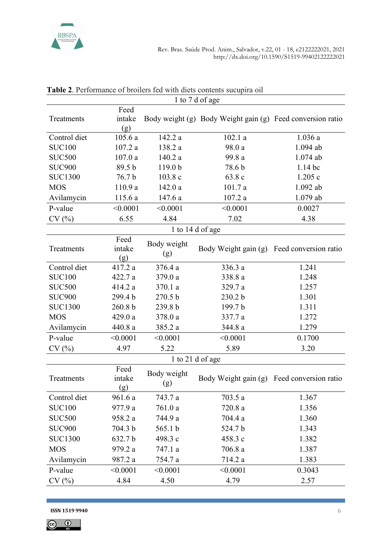

|                                                                                                         | 1 to 7 d of age |  |  |  |  |  |  |
|---------------------------------------------------------------------------------------------------------|-----------------|--|--|--|--|--|--|
| Feed<br>intake<br>Body weight (g) Body Weight gain (g) Feed conversion ratio<br>Treatments<br>(g)       |                 |  |  |  |  |  |  |
| 142.2 a<br>102.1a<br>Control diet<br>105.6a<br>1.036a                                                   |                 |  |  |  |  |  |  |
| <b>SUC100</b><br>107.2a<br>98.0 a<br>1.094 ab<br>138.2 a                                                |                 |  |  |  |  |  |  |
| <b>SUC500</b><br>107.0a<br>140.2 a<br>99.8 a<br>$1.074$ ab                                              |                 |  |  |  |  |  |  |
| <b>SUC900</b><br>89.5 b<br>119.0 <sub>b</sub><br>78.6 b<br>$1.14$ bc                                    |                 |  |  |  |  |  |  |
| <b>SUC1300</b><br>76.7 b<br>1.205c<br>103.8c<br>63.8 c                                                  |                 |  |  |  |  |  |  |
| 110.9 a<br><b>MOS</b><br>142.0a<br>101.7a<br>1.092 ab                                                   |                 |  |  |  |  |  |  |
| 115.6 a<br>107.2a<br>1.079 ab<br>Avilamycin<br>147.6 a                                                  |                 |  |  |  |  |  |  |
| P-value<br>< 0.0001<br>< 0.0001<br>< 0.0001<br>0.0027                                                   |                 |  |  |  |  |  |  |
| 4.84<br>6.55<br>7.02<br>CV(%)<br>4.38                                                                   |                 |  |  |  |  |  |  |
| 1 to 14 d of age                                                                                        |                 |  |  |  |  |  |  |
| Feed<br>Body weight<br>intake<br>Body Weight gain (g) Feed conversion ratio<br>Treatments<br>(g)<br>(g) |                 |  |  |  |  |  |  |
| 336.3 a<br>1.241<br>Control diet<br>376.4 a<br>417.2 a                                                  |                 |  |  |  |  |  |  |
| <b>SUC100</b><br>379.0 a<br>338.8 a<br>1.248<br>422.7 a                                                 |                 |  |  |  |  |  |  |
| <b>SUC500</b><br>414.2 a<br>370.1 a<br>329.7 a<br>1.257                                                 |                 |  |  |  |  |  |  |
| <b>SUC900</b><br>270.5 b<br>299.4 b<br>230.2 b<br>1.301                                                 |                 |  |  |  |  |  |  |
| <b>SUC1300</b><br>260.8 b<br>239.8 b<br>199.7 b<br>1.311                                                |                 |  |  |  |  |  |  |
| <b>MOS</b><br>429.0 a<br>378.0 a<br>337.7 a<br>1.272                                                    |                 |  |  |  |  |  |  |
| Avilamycin<br>440.8 a<br>385.2 a<br>344.8 a<br>1.279                                                    |                 |  |  |  |  |  |  |
| P-value<br>< 0.0001<br>< 0.0001<br>< 0.0001<br>0.1700                                                   |                 |  |  |  |  |  |  |
| 5.22<br>5.89<br>CV(%)<br>4.97<br>3.20                                                                   |                 |  |  |  |  |  |  |
| 1 to 21 d of age                                                                                        |                 |  |  |  |  |  |  |
| Feed<br>Body weight<br>intake<br>Body Weight gain (g) Feed conversion ratio<br>Treatments<br>(g)<br>(g) |                 |  |  |  |  |  |  |
| Control diet<br>961.6a<br>743.7 a<br>703.5a<br>1.367                                                    |                 |  |  |  |  |  |  |
| <b>SUC100</b><br>977.9 a<br>761.0a<br>720.8a<br>1.356                                                   |                 |  |  |  |  |  |  |
| <b>SUC500</b><br>744.9 a<br>704.4 a<br>958.2 a<br>1.360                                                 |                 |  |  |  |  |  |  |
| <b>SUC900</b><br>565.1 b<br>1.343<br>704.3 b<br>524.7 b                                                 |                 |  |  |  |  |  |  |
| 498.3 c<br><b>SUC1300</b><br>632.7 b<br>458.3c<br>1.382                                                 |                 |  |  |  |  |  |  |
| <b>MOS</b><br>706.8 a<br>979.2 a<br>747.1 a<br>1.387                                                    |                 |  |  |  |  |  |  |
| Avilamycin<br>987.2 a<br>754.7 a<br>714.2 a<br>1.383                                                    |                 |  |  |  |  |  |  |
| < 0.0001<br>< 0.0001<br>< 0.0001<br>0.3043<br>P-value                                                   |                 |  |  |  |  |  |  |
| CV(%)<br>4.84<br>4.50<br>4.79<br>2.57                                                                   |                 |  |  |  |  |  |  |

Table 2. Performance of broilers fed with diets contents sucupira oil

**ISSN 1519 9940** 6

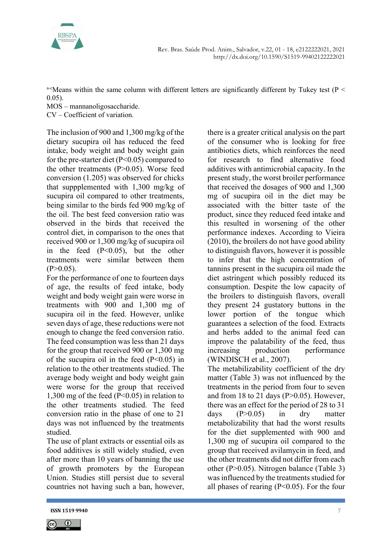

a-cMeans within the same column with different letters are significantly different by Tukey test ( $P \le$ 0.05).

MOS – mannanoligosaccharide.

CV – Coefficient of variation.

The inclusion of 900 and 1,300 mg/kg of the dietary sucupira oil has reduced the feed intake, body weight and body weight gain for the pre-starter diet (P<0.05) compared to the other treatments (P>0.05). Worse feed conversion (1.205) was observed for chicks that suppplemented with 1,300 mg/kg of sucupira oil compared to other treatments, being similar to the birds fed 900 mg/kg of the oil. The best feed conversion ratio was observed in the birds that received the control diet, in comparison to the ones that received 900 or 1,300 mg/kg of sucupira oil in the feed (P<0.05), but the other treatments were similar between them  $(P>0.05)$ .

For the performance of one to fourteen days of age, the results of feed intake, body weight and body weight gain were worse in treatments with 900 and 1,300 mg of sucupira oil in the feed. However, unlike seven days of age, these reductions were not enough to change the feed conversion ratio. The feed consumption was less than 21 days for the group that received 900 or 1,300 mg of the sucupira oil in the feed  $(P<0.05)$  in relation to the other treatments studied. The average body weight and body weight gain were worse for the group that received 1,300 mg of the feed (P<0.05) in relation to the other treatments studied. The feed conversion ratio in the phase of one to 21 days was not influenced by the treatments studied.

The use of plant extracts or essential oils as food additives is still widely studied, even after more than 10 years of banning the use of growth promoters by the European Union. Studies still persist due to several countries not having such a ban, however,

there is a greater critical analysis on the part of the consumer who is looking for free antibiotics diets, which reinforces the need for research to find alternative food additives with antimicrobial capacity. In the present study, the worst broiler performance that received the dosages of 900 and 1,300 mg of sucupira oil in the diet may be associated with the bitter taste of the product, since they reduced feed intake and this resulted in worsening of the other performance indexes. According to Vieira (2010), the broilers do not have good ability to distinguish flavors, however it is possible to infer that the high concentration of tannins present in the sucupira oil made the diet astringent which possibly reduced its consumption. Despite the low capacity of the broilers to distinguish flavors, overall they present 24 gustatory buttons in the lower portion of the tongue which guarantees a selection of the food. Extracts and herbs added to the animal feed can improve the palatability of the feed, thus increasing production performance (WINDISCH et al., 2007).

The metabilizability coefficient of the dry matter (Table 3) was not influenced by the treatments in the period from four to seven and from 18 to 21 days ( $P > 0.05$ ). However, there was an effect for the period of 28 to 31 days (P>0.05) in dry matter metabolizability that had the worst results for the diet supplemented with 900 and 1,300 mg of sucupira oil compared to the group that received avilamycin in feed, and the other treatments did not differ from each other (P>0.05). Nitrogen balance (Table 3) was influenced by the treatments studied for all phases of rearing  $(P<0.05)$ . For the four



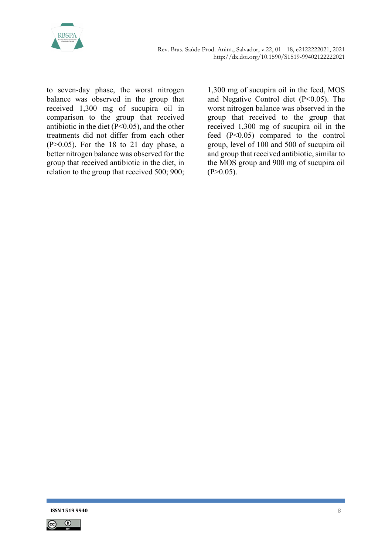

to seven-day phase, the worst nitrogen balance was observed in the group that received 1,300 mg of sucupira oil in comparison to the group that received antibiotic in the diet  $(P<0.05)$ , and the other treatments did not differ from each other  $(P>0.05)$ . For the 18 to 21 day phase, a better nitrogen balance was observed for the group that received antibiotic in the diet, in relation to the group that received 500; 900;

1,300 mg of sucupira oil in the feed, MOS and Negative Control diet (P<0.05). The worst nitrogen balance was observed in the group that received to the group that received 1,300 mg of sucupira oil in the feed (P<0.05) compared to the control group, level of 100 and 500 of sucupira oil and group that received antibiotic, similar to the MOS group and 900 mg of sucupira oil  $(P>0.05)$ .

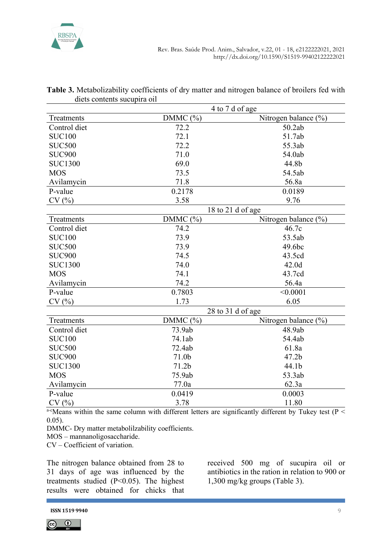

|                | 4 to 7 d of age   |                      |  |  |  |
|----------------|-------------------|----------------------|--|--|--|
| Treatments     | DMMC $(\%)$       | Nitrogen balance (%) |  |  |  |
| Control diet   | 72.2              | 50.2ab               |  |  |  |
| <b>SUC100</b>  | 72.1              | 51.7ab               |  |  |  |
| <b>SUC500</b>  | 72.2              | 55.3ab               |  |  |  |
| <b>SUC900</b>  | 71.0              | 54.0ab               |  |  |  |
| <b>SUC1300</b> | 69.0              | 44.8b                |  |  |  |
| <b>MOS</b>     | 73.5              | 54.5ab               |  |  |  |
| Avilamycin     | 71.8              | 56.8a                |  |  |  |
| P-value        | 0.2178            | 0.0189               |  |  |  |
| CV(%)          | 3.58              | 9.76                 |  |  |  |
|                |                   | 18 to 21 d of age    |  |  |  |
| Treatments     | DMMC (%)          | Nitrogen balance (%) |  |  |  |
| Control diet   | 74.2              | 46.7c                |  |  |  |
| <b>SUC100</b>  | 73.9              | 53.5ab               |  |  |  |
| <b>SUC500</b>  | 73.9              | 49.6bc               |  |  |  |
| <b>SUC900</b>  | 74.5              | 43.5cd               |  |  |  |
| <b>SUC1300</b> | 74.0              | 42.0d                |  |  |  |
| <b>MOS</b>     | 74.1              | 43.7cd               |  |  |  |
| Avilamycin     | 74.2              | 56.4a                |  |  |  |
| P-value        | 0.7803            | < 0.0001             |  |  |  |
| CV(%)          | 1.73              | 6.05                 |  |  |  |
|                |                   | 28 to 31 d of age    |  |  |  |
| Treatments     | DMMC $(%)$        | Nitrogen balance (%) |  |  |  |
| Control diet   | 73.9ab            | 48.9ab               |  |  |  |
| <b>SUC100</b>  | 74.1ab            | 54.4ab               |  |  |  |
| <b>SUC500</b>  | 72.4ab            | 61.8a                |  |  |  |
| <b>SUC900</b>  | 71.0 <sub>b</sub> | 47.2 <sub>b</sub>    |  |  |  |
| <b>SUC1300</b> | 71.2 <sub>b</sub> | 44.1b                |  |  |  |
| <b>MOS</b>     | 75.9ab            | 53.3ab               |  |  |  |
| Avilamycin     | 77.0a             | 62.3a                |  |  |  |
| P-value        | 0.0419            | 0.0003               |  |  |  |
| CV(%)          | 3.78              | 11.80                |  |  |  |

#### Table 3. Metabolizability coefficients of dry matter and nitrogen balance of broilers fed with diets contents sucupira oil

a-cMeans within the same column with different letters are significantly different by Tukey test ( $P$  < 0.05).

DMMC- Dry matter metabolilzability coefficients.

MOS – mannanoligosaccharide.

CV – Coefficient of variation.

The nitrogen balance obtained from 28 to 31 days of age was influenced by the treatments studied (P<0.05). The highest results were obtained for chicks that received 500 mg of sucupira oil or antibiotics in the ration in relation to 900 or 1,300 mg/kg groups (Table 3).

**ISSN 1519 9940** 998 9940

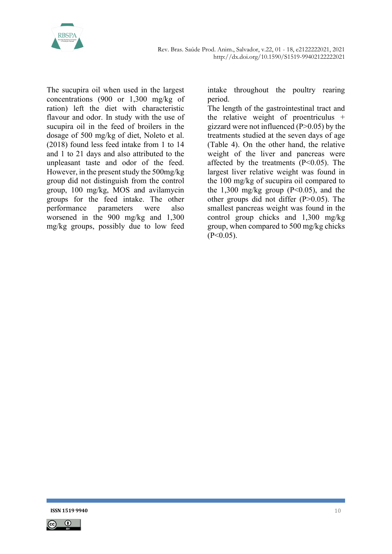

The sucupira oil when used in the largest concentrations (900 or 1,300 mg/kg of ration) left the diet with characteristic flavour and odor. In study with the use of sucupira oil in the feed of broilers in the dosage of 500 mg/kg of diet, Noleto et al. (2018) found less feed intake from 1 to 14 and 1 to 21 days and also attributed to the unpleasant taste and odor of the feed. However, in the present study the 500mg/kg group did not distinguish from the control group, 100 mg/kg, MOS and avilamycin groups for the feed intake. The other performance parameters were also worsened in the 900 mg/kg and 1,300 mg/kg groups, possibly due to low feed intake throughout the poultry rearing period.

The length of the gastrointestinal tract and the relative weight of proentriculus + gizzard were not influenced  $(P>0.05)$  by the treatments studied at the seven days of age (Table 4). On the other hand, the relative weight of the liver and pancreas were affected by the treatments  $(P<0.05)$ . The largest liver relative weight was found in the 100 mg/kg of sucupira oil compared to the 1,300 mg/kg group  $(P<0.05)$ , and the other groups did not differ (P>0.05). The smallest pancreas weight was found in the control group chicks and 1,300 mg/kg group, when compared to 500 mg/kg chicks  $(P<0.05)$ .

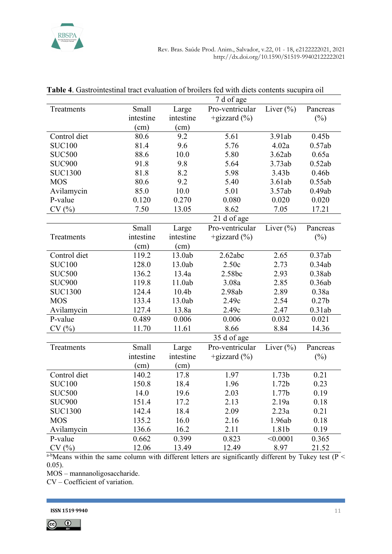

|                | $/$ u or age   |                   |                  |                                        |                   |  |  |
|----------------|----------------|-------------------|------------------|----------------------------------------|-------------------|--|--|
| Treatments     | Small          | Large             | Pro-ventricular  | Liver $(\%)$                           | Pancreas          |  |  |
|                | intestine      | intestine         | +gizzard $(\% )$ |                                        | $(\%)$            |  |  |
|                | (cm)           | (cm)              |                  |                                        |                   |  |  |
| Control diet   | 80.6           | 9.2               | 5.61             | 3.91ab                                 | 0.45 <sub>b</sub> |  |  |
| <b>SUC100</b>  | 81.4           | 9.6               | 5.76             | 4.02a                                  |                   |  |  |
| <b>SUC500</b>  | 88.6           | 10.0              | 5.80             | 3.62ab                                 | 0.65a             |  |  |
| <b>SUC900</b>  | 91.8           | 9.8               | 5.64             | 3.73ab                                 | 0.52ab            |  |  |
| <b>SUC1300</b> | 81.8           | 8.2               | 5.98             | 0.46 <sub>b</sub><br>3.43 <sub>b</sub> |                   |  |  |
| <b>MOS</b>     | 80.6           | 9.2               | 5.40             | 3.61ab                                 | 0.55ab            |  |  |
| Avilamycin     | 85.0           | 10.0              | 5.01             | 3.57ab                                 | 0.49ab            |  |  |
| P-value        | 0.120          | 0.270             | 0.080            | 0.020                                  | 0.020             |  |  |
| CV(%)          | 7.50           | 13.05             | 8.62             | 7.05                                   | 17.21             |  |  |
|                |                |                   | 21 d of age      |                                        |                   |  |  |
|                | <b>Small</b>   | Large             | Pro-ventricular  | Liver $(\%)$                           | Pancreas          |  |  |
| Treatments     | intestine      | intestine         | +gizzard $(\%)$  |                                        | $(\%)$            |  |  |
|                | (cm)           | (cm)              |                  |                                        |                   |  |  |
| Control diet   | 119.2          | 13.0ab            | 2.62abc          | 2.65                                   | 0.37ab            |  |  |
| <b>SUC100</b>  | 128.0          |                   | 2.50c<br>2.73    |                                        | 0.34ab            |  |  |
| <b>SUC500</b>  | 136.2          | 13.4a             | 2.58bc           | 2.93                                   | 0.38ab            |  |  |
| <b>SUC900</b>  | 119.8          | 11.0ab            | 2.85<br>3.08a    |                                        | 0.36ab            |  |  |
| <b>SUC1300</b> | 124.4          | 10.4 <sub>b</sub> | 2.98ab           |                                        | 0.38a             |  |  |
| <b>MOS</b>     | 133.4          | 13.0ab            | 2.49c            | 2.54                                   | 0.27 <sub>b</sub> |  |  |
| Avilamycin     | 127.4          | 13.8a             | 2.49c            | 2.47                                   | 0.31ab            |  |  |
| P-value        | 0.489          | 0.006             | 0.006            | 0.032                                  | 0.021             |  |  |
| CV(%)          | 11.70          | 11.61             | 8.66             | 8.84                                   | 14.36             |  |  |
|                |                | 35 d of age       |                  |                                        |                   |  |  |
| Treatments     | Small          | Large             | Pro-ventricular  | Liver $(\% )$                          | Pancreas          |  |  |
|                | intestine      | intestine         | +gizzard $(\% )$ |                                        | $(\%)$            |  |  |
|                | (cm)           | (cm)              |                  |                                        |                   |  |  |
| Control diet   | 140.2          | 17.8              | 1.97             | 1.73b                                  | 0.21              |  |  |
| <b>SUC100</b>  | 150.8          | 18.4              | 1.96             | 1.72 <sub>b</sub>                      | 0.23              |  |  |
| <b>SUC500</b>  | 14.0           | 19.6              | 2.03             | 1.77 <sub>b</sub>                      | 0.19              |  |  |
| <b>SUC900</b>  | 151.4          | 17.2              | 2.13             | 2.19a                                  | 0.18              |  |  |
| <b>SUC1300</b> | 142.4          | 18.4              | 2.09             | 2.23a                                  | 0.21              |  |  |
| <b>MOS</b>     | 135.2          | 16.0              | 2.16<br>1.96ab   |                                        | 0.18              |  |  |
| Avilamycin     | 136.6          | 16.2              | 1.81b<br>2.11    |                                        | 0.19              |  |  |
| P-value        | 0.662          | 0.399             | 0.823            | < 0.0001                               | 0.365             |  |  |
| CV(%)          | 12.06<br>13.49 |                   | 12.49            | 8.97                                   | 21.52             |  |  |

| <b>Table 4.</b> Gastrointestinal tract evaluation of broilers fed with diets contents sucupira oil |
|----------------------------------------------------------------------------------------------------|
| $7d$ of $30e$                                                                                      |

 $\overline{a-b}$ Means within the same column with different letters are significantly different by Tukey test (P < 0.05).

MOS – mannanoligosaccharide.

CV – Coefficient of variation.

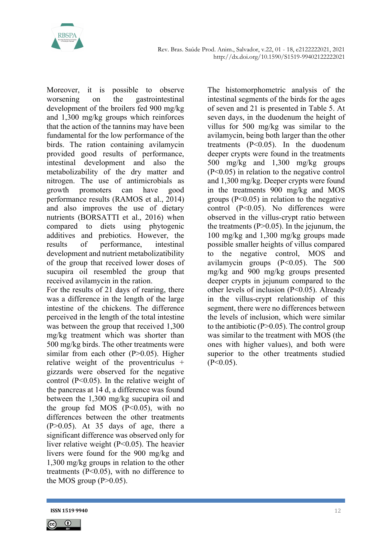

Moreover, it is possible to observe worsening on the gastrointestinal development of the broilers fed 900 mg/kg and 1,300 mg/kg groups which reinforces that the action of the tannins may have been fundamental for the low performance of the birds. The ration containing avilamycin provided good results of performance, intestinal development and also the metabolizability of the dry matter and nitrogen. The use of antimicrobials as growth promoters can have good performance results (RAMOS et al., 2014) and also improves the use of dietary nutrients (BORSATTI et al., 2016) when compared to diets using phytogenic additives and prebiotics. However, the results of performance, intestinal development and nutrient metabolizatibility of the group that received lower doses of sucupira oil resembled the group that received avilamycin in the ration.

For the results of 21 days of rearing, there was a difference in the length of the large intestine of the chickens. The difference perceived in the length of the total intestine was between the group that received 1,300 mg/kg treatment which was shorter than 500 mg/kg birds. The other treatments were similar from each other  $(P>0.05)$ . Higher relative weight of the proventriculus + gizzards were observed for the negative control (P<0.05). In the relative weight of the pancreas at 14 d, a difference was found between the 1,300 mg/kg sucupira oil and the group fed MOS  $(P<0.05)$ , with no differences between the other treatments  $(P>0.05)$ . At 35 days of age, there a significant difference was observed only for liver relative weight (P<0.05). The heavier livers were found for the 900 mg/kg and 1,300 mg/kg groups in relation to the other treatments (P<0.05), with no difference to the MOS group  $(P>0.05)$ .

The histomorphometric analysis of the intestinal segments of the birds for the ages of seven and 21 is presented in Table 5. At seven days, in the duodenum the height of villus for 500 mg/kg was similar to the avilamycin, being both larger than the other treatments (P<0.05). In the duodenum deeper crypts were found in the treatments 500 mg/kg and 1,300 mg/kg groups (P<0.05) in relation to the negative control and 1,300 mg/kg. Deeper crypts were found in the treatments 900 mg/kg and MOS groups  $(P<0.05)$  in relation to the negative control (P<0.05). No differences were observed in the villus-crypt ratio between the treatments  $(P>0.05)$ . In the jejunum, the 100 mg/kg and 1,300 mg/kg groups made possible smaller heights of villus compared to the negative control, MOS and avilamycin groups  $(P<0.05)$ . The 500 mg/kg and 900 mg/kg groups presented deeper crypts in jejunum compared to the other levels of inclusion (P<0.05). Already in the villus-crypt relationship of this segment, there were no differences between the levels of inclusion, which were similar to the antibiotic  $(P>0.05)$ . The control group was similar to the treatment with MOS (the ones with higher values), and both were superior to the other treatments studied  $(P<0.05)$ .



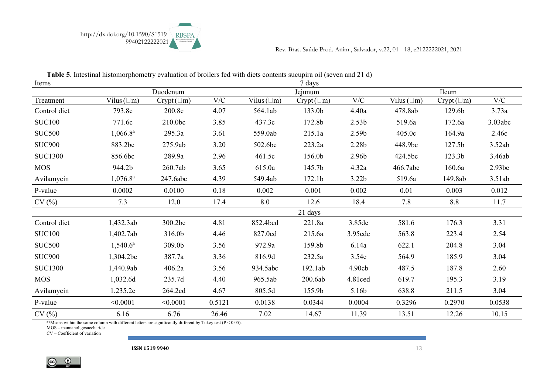

| Items          | <b>Table of intestinal installer profited</b> y evaluation of ofoners feat with alcas contents sucupitu on (seven and 21 u) |                     |        |                  | 7 days             |                   |                  |                    |           |
|----------------|-----------------------------------------------------------------------------------------------------------------------------|---------------------|--------|------------------|--------------------|-------------------|------------------|--------------------|-----------|
|                |                                                                                                                             | Duodenum            |        |                  | Jejunum            |                   | Ileum            |                    |           |
| Treatment      | Vilus $(\Box m)$                                                                                                            | $Crypt(\square m)$  | V/C    | Vilus $(\Box m)$ | $Crypt(\square m)$ | $\rm V/C$         | Vilus $(\Box m)$ | $Crypt(\square m)$ | $\rm V/C$ |
| Control diet   | 793.8c                                                                                                                      | 200.8c              | 4.07   | 564.1ab          | 133.0b             | 4.40a             | 478.8ab          | 129.6b             | 3.73a     |
| <b>SUC100</b>  | 771.6c                                                                                                                      | 210.0 <sub>bc</sub> | 3.85   | 437.3c           | 172.8b             | 2.53 <sub>b</sub> | 519.6a           | 172.6a             | 3.03abc   |
| <b>SUC500</b>  | $1,066.8^{\rm a}$                                                                                                           | 295.3a              | 3.61   | 559.0ab          | 215.1a             | 2.59b             | 405.0c           | 164.9a             | 2.46c     |
| <b>SUC900</b>  | 883.2bc                                                                                                                     | 275.9ab             | 3.20   | 502.6bc          | 223.2a             | 2.28b             | 448.9bc          | 127.5b             | 3.52ab    |
| <b>SUC1300</b> | 856.6bc                                                                                                                     | 289.9a              | 2.96   | 461.5c           | 156.0b             | 2.96b             | 424.5bc          | 123.3b             | 3.46ab    |
| <b>MOS</b>     | 944.2b                                                                                                                      | 260.7ab             | 3.65   | 615.0a           | 145.7b             | 4.32a             | 466.7abc         | 160.6a             | 2.93bc    |
| Avilamycin     | $1,076.8^{\rm a}$                                                                                                           | 247.6abc            | 4.39   | 549.4ab          | 172.1b             | 3.22 <sub>b</sub> | 519.6a           | 149.8ab            | 3.51ab    |
| P-value        | 0.0002                                                                                                                      | 0.0100              | 0.18   | 0.002            | 0.001              | 0.002             | 0.01             | 0.003              | 0.012     |
| CV(%)          | 7.3                                                                                                                         | 12.0                | 17.4   | 8.0              | 12.6               | 18.4              | 7.8              | 8.8                | 11.7      |
|                |                                                                                                                             |                     |        |                  | 21 days            |                   |                  |                    |           |
| Control diet   | 1,432.3ab                                                                                                                   | 300.2bc             | 4.81   | 852.4bcd         | 221.8a             | 3.85de            | 581.6            | 176.3              | 3.31      |
| <b>SUC100</b>  | 1,402.7ab                                                                                                                   | 316.0b              | 4.46   | 827.0cd          | 215.6a             | 3.95cde           | 563.8            | 223.4              | 2.54      |
| <b>SUC500</b>  | $1,540.6^a$                                                                                                                 | 309.0b              | 3.56   | 972.9a           | 159.8b             | 6.14a             | 622.1            | 204.8              | 3.04      |
| <b>SUC900</b>  | 1,304.2bc                                                                                                                   | 387.7a              | 3.36   | 816.9d           | 232.5a             | 3.54e             | 564.9            | 185.9              | 3.04      |
| <b>SUC1300</b> | 1,440.9ab                                                                                                                   | 406.2a              | 3.56   | 934.5abc         | 192.1ab            | 4.90cb            | 487.5            | 187.8              | 2.60      |
| <b>MOS</b>     | 1,032.6d                                                                                                                    | 235.7d              | 4.40   | 965.5ab          | 200.6ab            | 4.81ced           | 619.7            | 195.3              | 3.19      |
| Avilamycin     | 1,235.2c                                                                                                                    | 264.2cd             | 4.67   | 805.5d           | 155.9b             | 5.16b             | 638.8            | 211.5              | 3.04      |
| P-value        | < 0.0001                                                                                                                    | < 0.0001            | 0.5121 | 0.0138           | 0.0344             | 0.0004            | 0.3296           | 0.2970             | 0.0538    |
| CV(%)          | 6.16                                                                                                                        | 6.76                | 26.46  | 7.02             | 14.67              | 11.39             | 13.51            | 12.26              | 10.15     |

Table 5. Intestinal histomorphometry evaluation of broilers fed with diets contents sucupira oil (seven and 21 d)

a-eMeans within the same column with different letters are significantly different by Tukey test ( $P < 0.05$ ).

MOS – mannanoligosaccharide.

CV – Coefficient of variation

**ISSN 1519 9940** 13

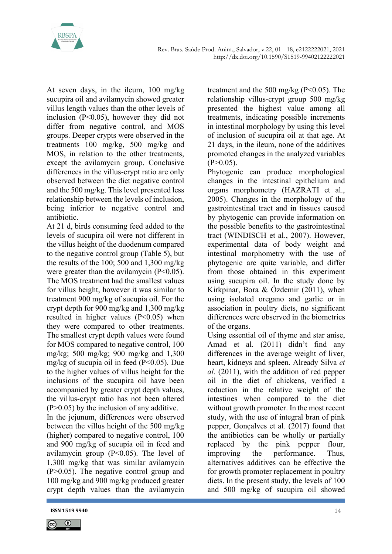

At seven days, in the ileum, 100 mg/kg sucupira oil and avilamycin showed greater villus length values than the other levels of inclusion (P<0.05), however they did not differ from negative control, and MOS groups. Deeper crypts were observed in the treatments 100 mg/kg, 500 mg/kg and MOS, in relation to the other treatments, except the avilamycin group. Conclusive differences in the villus-crypt ratio are only observed between the diet negative control and the 500 mg/kg. This level presented less relationship between the levels of inclusion, being inferior to negative control and antibiotic.

At 21 d, birds consuming feed added to the levels of sucupira oil were not different in the villus height of the duodenum compared to the negative control group (Table 5), but the results of the 100; 500 and 1,300 mg/kg were greater than the avilamycin  $(P<0.05)$ . The MOS treatment had the smallest values for villus height, however it was similar to treatment 900 mg/kg of sucupia oil. For the crypt depth for 900 mg/kg and 1,300 mg/kg resulted in higher values  $(P<0.05)$  when they were compared to other treatments. The smallest crypt depth values were found for MOS compared to negative control, 100 mg/kg; 500 mg/kg; 900 mg/kg and 1,300 mg/kg of sucupia oil in feed (P<0.05). Due to the higher values of villus height for the inclusions of the sucupira oil have been accompanied by greater crypt depth values, the villus-crypt ratio has not been altered  $(P>0.05)$  by the inclusion of any additive.

In the jejunum, differences were observed between the villus height of the 500 mg/kg (higher) compared to negative control, 100 and 900 mg/kg of sucupia oil in feed and avilamycin group (P<0.05). The level of 1,300 mg/kg that was similar avilamycin (P>0.05). The negative control group and 100 mg/kg and 900 mg/kg produced greater crypt depth values than the avilamycin

treatment and the 500 mg/kg ( $P \le 0.05$ ). The relationship villus-crypt group 500 mg/kg presented the highest value among all treatments, indicating possible increments in intestinal morphology by using this level of inclusion of sucupira oil at that age. At 21 days, in the ileum, none of the additives promoted changes in the analyzed variables  $(P>0.05)$ .

Phytogenic can produce morphological changes in the intestinal epithelium and organs morphometry (HAZRATI et al., 2005). Changes in the morphology of the gastrointestinal tract and in tissues caused by phytogenic can provide information on the possible benefits to the gastrointestinal tract (WINDISCH et al., 2007). However, experimental data of body weight and intestinal morphometry with the use of phytogenic are quite variable, and differ from those obtained in this experiment using sucupira oil. In the study done by Kirkpinar, Bora & Özdemir (2011), when using isolated oregano and garlic or in association in poultry diets, no significant differences were observed in the biometrics of the organs.

Using essential oil of thyme and star anise, Amad et al. (2011) didn't find any differences in the average weight of liver, heart, kidneys and spleen. Already Silva et al. (2011), with the addition of red pepper oil in the diet of chickens, verified a reduction in the relative weight of the intestines when compared to the diet without growth promoter. In the most recent study, with the use of integral bran of pink pepper, Gonçalves et al. (2017) found that the antibiotics can be wholly or partially replaced by the pink pepper flour, improving the performance. Thus, alternatives additives can be effective the for growth promoter replacement in poultry diets. In the present study, the levels of 100 and 500 mg/kg of sucupira oil showed

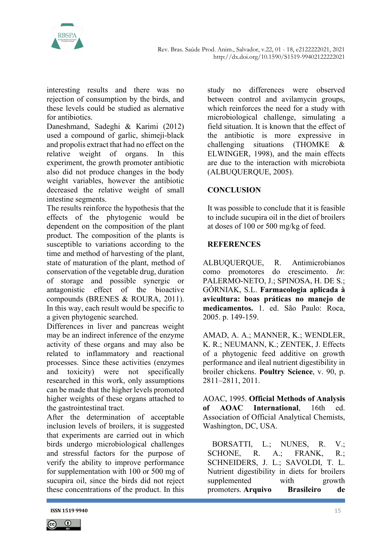

interesting results and there was no rejection of consumption by the birds, and these levels could be studied as alernative for antibiotics.

Daneshmand, Sadeghi & Karimi (2012) used a compound of garlic, shimeji-black and propolis extract that had no effect on the relative weight of organs. In this experiment, the growth promoter antibiotic also did not produce changes in the body weight variables, however the antibiotic decreased the relative weight of small intestine segments.

The results reinforce the hypothesis that the effects of the phytogenic would be dependent on the composition of the plant product. The composition of the plants is susceptible to variations according to the time and method of harvesting of the plant, state of maturation of the plant, method of conservation of the vegetable drug, duration of storage and possible synergic or antagonistic effect of the bioactive compounds (BRENES & ROURA, 2011). In this way, each result would be specific to a given phytogenic searched.

Differences in liver and pancreas weight may be an indirect inference of the enzyme activity of these organs and may also be related to inflammatory and reactional processes. Since these activities (enzymes and toxicity) were not specifically researched in this work, only assumptions can be made that the higher levels promoted higher weights of these organs attached to the gastrointestinal tract.

After the determination of acceptable inclusion levels of broilers, it is suggested that experiments are carried out in which birds undergo microbiological challenges and stressful factors for the purpose of verify the ability to improve performance for supplementation with 100 or 500 mg of sucupira oil, since the birds did not reject these concentrations of the product. In this

study no differences were observed between control and avilamycin groups, which reinforces the need for a study with microbiological challenge, simulating a field situation. It is known that the effect of the antibiotic is more expressive in challenging situations (THOMKE & ELWINGER, 1998), and the main effects are due to the interaction with microbiota (ALBUQUERQUE, 2005).

# **CONCLUSION**

It was possible to conclude that it is feasible to include sucupira oil in the diet of broilers at doses of 100 or 500 mg/kg of feed.

# **REFERENCES**

ALBUQUERQUE, R. Antimicrobianos como promotores do crescimento. In: PALERMO-NETO, J.; SPINOSA, H. DE S.; GÓRNIAK, S.L. Farmacologia aplicada à avicultura: boas práticas no manejo de medicamentos. 1. ed. São Paulo: Roca, 2005. p. 149-159.

AMAD, A. A.; MANNER, K.; WENDLER, K. R.; NEUMANN, K.; ZENTEK, J. Effects of a phytogenic feed additive on growth performance and ileal nutrient digestibility in broiler chickens. Poultry Science, v. 90, p. 2811–2811, 2011.

AOAC, 1995. Official Methods of Analysis of AOAC International, 16th ed. Association of Official Analytical Chemists, Washington, DC, USA.

BORSATTI, L.; NUNES, R. V.; SCHONE, R. A.; FRANK, R.; SCHNEIDERS, J. L.; SAVOLDI, T. L. Nutrient digestibility in diets for broilers supplemented with growth promoters. Arquivo Brasileiro de



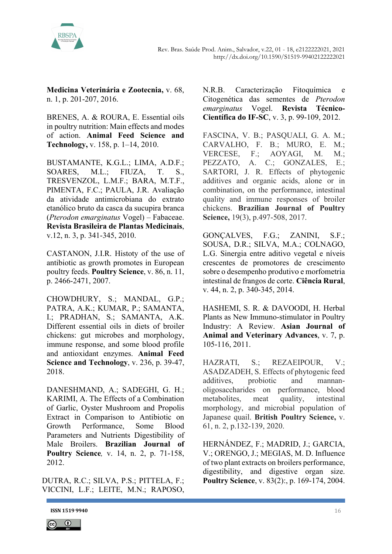

Medicina Veterinária e Zootecnia, v. 68, n. 1, p. 201-207, 2016.

BRENES, A. & ROURA, E. Essential oils in poultry nutrition: Main effects and modes of action. Animal Feed Science and Technology, v. 158, p. 1–14, 2010.

BUSTAMANTE, K.G.L.; LIMA, A.D.F.; SOARES, M.L.; FIUZA, T. S., TRESVENZOL, L.M.F.; BARA, M.T.F., PIMENTA, F.C.; PAULA, J.R. Avaliação da atividade antimicrobiana do extrato etanólico bruto da casca da sucupira branca (Pterodon emarginatus Vogel) – Fabaceae. Revista Brasileira de Plantas Medicinais, v.12, n. 3, p. 341-345, 2010.

CASTANON, J.I.R. Histoty of the use of antibiotic as growth promotes in European poultry feeds. Poultry Science, v. 86, n. 11, p. 2466-2471, 2007.

CHOWDHURY, S.; MANDAL, G.P.; PATRA, A.K.; KUMAR, P.; SAMANTA, I.; PRADHAN, S.; SAMANTA, A.K. Different essential oils in diets of broiler chickens: gut microbes and morphology, immune response, and some blood profile and antioxidant enzymes. Animal Feed Science and Technology, v. 236, p. 39-47, 2018.

DANESHMAND, A.; SADEGHI, G. H.; KARIMI, A. The Effects of a Combination of Garlic, Oyster Mushroom and Propolis Extract in Comparison to Antibiotic on Growth Performance, Some Blood Parameters and Nutrients Digestibility of Male Broilers. Brazilian Journal of Poultry Science, v. 14, n. 2, p. 71-158, 2012.

DUTRA, R.C.; SILVA, P.S.; PITTELA, F.; VICCINI, L.F.; LEITE, M.N.; RAPOSO,

N.R.B. Caracterização Fitoquímica e Citogenética das sementes de Pterodon emarginatus Vogel. Revista Técnico-Científica do IF-SC, v. 3, p. 99-109, 2012.

FASCINA, V. B.; PASQUALI, G. A. M.; CARVALHO, F. B.; MURO, E. M.; VERCESE, F.; AOYAGI, M. M.; PEZZATO, A. C.; GONZALES, E.; SARTORI, J. R. Effects of phytogenic additives and organic acids, alone or in combination, on the performance, intestinal quality and immune responses of broiler chickens. Brazilian Journal of Poultry Science, 19(3), p.497-508, 2017.

GONÇALVES, F.G.; ZANINI, S.F.; SOUSA, D.R.; SILVA, M.A.; COLNAGO, L.G. Sinergia entre aditivo vegetal e níveis crescentes de promotores de crescimento sobre o desempenho produtivo e morfometria intestinal de frangos de corte. Ciência Rural, v. 44, n. 2, p. 340-345, 2014.

HASHEMI, S. R. & DAVOODI, H. Herbal Plants as New Immuno-stimulator in Poultry Industry: A Review. Asian Journal of Animal and Veterinary Advances, v. 7, p. 105-116, 2011.

HAZRATI, S.; REZAEIPOUR, V.; ASADZADEH, S. Effects of phytogenic feed additives, probiotic and mannanoligosaccharides on performance, blood metabolites, meat quality, intestinal morphology, and microbial population of Japanese quail. British Poultry Science, v. 61, n. 2, p.132-139, 2020.

HERNÁNDEZ, F.; MADRID, J.; GARCIA, V.; ORENGO, J.; MEGIAS, M. D. Influence of two plant extracts on broilers performance, digestibility, and digestive organ size. Poultry Science, v. 83(2):, p. 169-174, 2004.



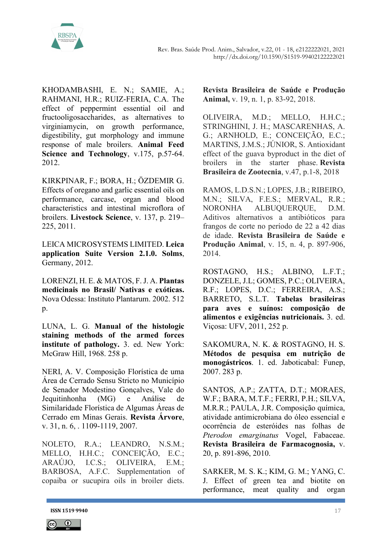

KHODAMBASHI, E. N.; SAMIE, A.; RAHMANI, H.R.; RUIZ-FERIA, C.A. The effect of peppermint essential oil and fructooligosaccharides, as alternatives to virginiamycin, on growth performance, digestibility, gut morphology and immune response of male broilers. Animal Feed Science and Technology, v.175, p.57-64. 2012.

KIRKPINAR, F.; BORA, H.; ÖZDEMIR G. Effects of oregano and garlic essential oils on performance, carcase, organ and blood characteristics and intestinal microflora of broilers. Livestock Science, v. 137, p. 219– 225, 2011.

LEICA MICROSYSTEMS LIMITED. Leica application Suite Version 2.1.0. Solms, Germany, 2012.

LORENZI, H. E. & MATOS, F. J. A. Plantas medicinais no Brasil/ Nativas e exóticas. Nova Odessa: Instituto Plantarum. 2002. 512 p.

LUNA, L. G. Manual of the histologic staining methods of the armed forces institute of pathology. 3. ed. New York: McGraw Hill, 1968. 258 p.

NERI, A. V. Composição Florística de uma Área de Cerrado Sensu Stricto no Município de Senador Modestino Gonçalves, Vale do Jequitinhonha (MG) e Análise de Similaridade Florística de Algumas Áreas de Cerrado em Minas Gerais. Revista Árvore, v. 31, n. 6, . 1109-1119, 2007.

NOLETO, R.A.; LEANDRO, N.S.M.; MELLO, H.H.C.; CONCEIÇÃO, E.C.; ARAÚJO, I.C.S.; OLIVEIRA, E.M.; BARBOSA, A.F.C. Supplementation of copaiba or sucupira oils in broiler diets. Revista Brasileira de Saúde e Produção Animal, v. 19, n. 1, p. 83-92, 2018.

OLIVEIRA, M.D.; MELLO, H.H.C.; STRINGHINI, J. H.; MASCARENHAS, A. G.; ARNHOLD, E.; CONCEIÇÃO, E.C.; MARTINS, J.M.S.; JÚNIOR, S. Antioxidant effect of the guava byproduct in the diet of broilers in the starter phase. Revista Brasileira de Zootecnia, v.47, p.1-8, 2018

RAMOS, L.D.S.N.; LOPES, J.B.; RIBEIRO, M.N.; SILVA, F.E.S.; MERVAL, R.R.; NORONHA ALBUQUERQUE, D.M. Aditivos alternativos a antibióticos para frangos de corte no período de 22 a 42 dias de idade. Revista Brasileira de Saúde e Produção Animal, v. 15, n. 4, p. 897-906, 2014.

ROSTAGNO, H.S.; ALBINO, L.F.T.; DONZELE, J.L; GOMES, P.C.; OLIVEIRA, R.F.; LOPES, D.C.; FERREIRA, A.S.; BARRETO, S.L.T. Tabelas brasileiras para aves e suínos: composição de alimentos e exigências nutricionais. 3. ed. Viçosa: UFV, 2011, 252 p.

SAKOMURA, N. K. & ROSTAGNO, H. S. Métodos de pesquisa em nutrição de monogástricos. 1. ed. Jaboticabal: Funep, 2007. 283 p.

SANTOS, A.P.; ZATTA, D.T.; MORAES, W.F.; BARA, M.T.F.; FERRI, P.H.; SILVA, M.R.R.; PAULA, J.R. Composição química, atividade antimicrobiana do óleo essencial e ocorrência de esteróides nas folhas de Pterodon emarginatus Vogel, Fabaceae. Revista Brasileira de Farmacognosia, v. 20, p. 891-896, 2010.

SARKER, M. S. K.; KIM, G. M.; YANG, C. J. Effect of green tea and biotite on performance, meat quality and organ